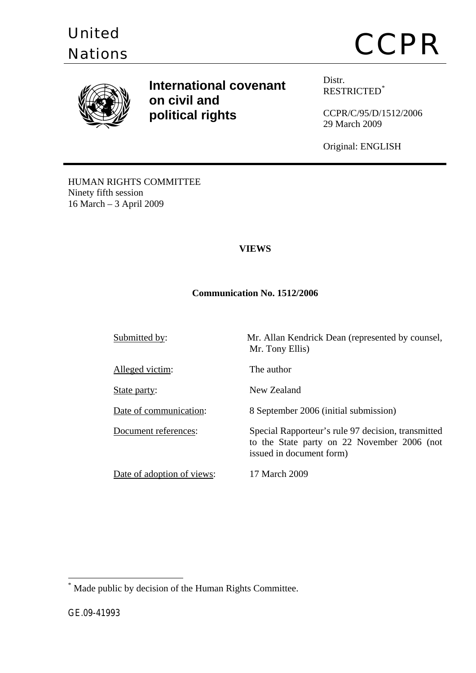

# Diffequal controls of the CCPR Nations of the CCPR Nations of the CCPR  $CCPR$



**International covenant on civil and political rights**

Distr. RESTRICTED[\\*](#page-0-0)

CCPR/C/95/D/1512/2006 29 March 2009

Original: ENGLISH

HUMAN RIGHTS COMMITTEE Ninety fifth session 16 March – 3 April 2009

## **VIEWS**

## **Communication No. 1512/2006**

Submitted by: Mr. Allan Kendrick Dean (represented by counsel, Mr. Tony Ellis) Alleged victim: The author State party: New Zealand Date of communication: 8 September 2006 (initial submission) Document references: Special Rapporteur's rule 97 decision, transmitted to the State party on 22 November 2006 (not issued in document form) Date of adoption of views: 17 March 2009

<span id="page-0-0"></span>\* Made public by decision of the Human Rights Committee.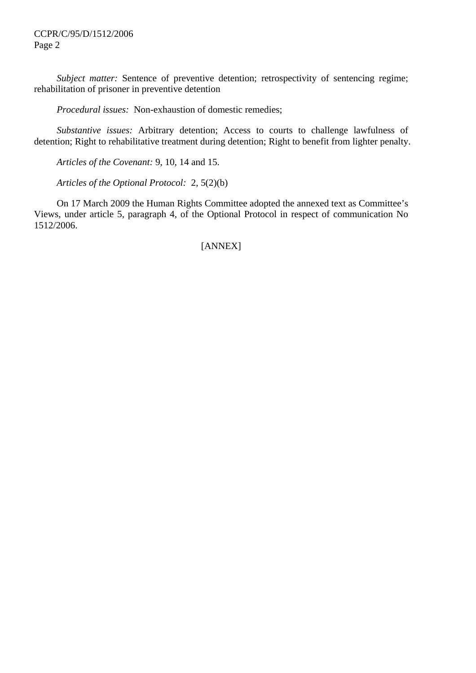*Subject matter:* Sentence of preventive detention; retrospectivity of sentencing regime; rehabilitation of prisoner in preventive detention

 *Procedural issues:* Non-exhaustion of domestic remedies;

 *Substantive issues:* Arbitrary detention; Access to courts to challenge lawfulness of detention; Right to rehabilitative treatment during detention; Right to benefit from lighter penalty.

 *Articles of the Covenant:* 9, 10, 14 and 15.

 *Articles of the Optional Protocol:* 2, 5(2)(b)

 On 17 March 2009 the Human Rights Committee adopted the annexed text as Committee's Views, under article 5, paragraph 4, of the Optional Protocol in respect of communication No 1512/2006.

# [ANNEX]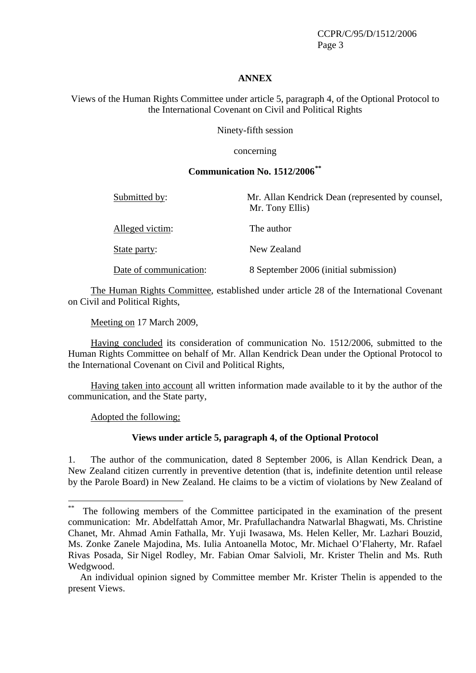CCPR/C/95/D/1512/2006 Page 3

#### **ANNEX**

Views of the Human Rights Committee under article 5, paragraph 4, of the Optional Protocol to the International Covenant on Civil and Political Rights

Ninety-fifth session

concerning

## **Communication No. 1512/2006[\\*\\*](#page-2-0)**

| Submitted by:          | Mr. Allan Kendrick Dean (represented by counsel,<br>Mr. Tony Ellis) |
|------------------------|---------------------------------------------------------------------|
| Alleged victim:        | The author                                                          |
| State party:           | New Zealand                                                         |
| Date of communication: | 8 September 2006 (initial submission)                               |

 The Human Rights Committee, established under article 28 of the International Covenant on Civil and Political Rights,

Meeting on 17 March 2009,

 Having concluded its consideration of communication No. 1512/2006, submitted to the Human Rights Committee on behalf of Mr. Allan Kendrick Dean under the Optional Protocol to the International Covenant on Civil and Political Rights,

 Having taken into account all written information made available to it by the author of the communication, and the State party,

Adopted the following;

 $\overline{a}$ 

#### **Views under article 5, paragraph 4, of the Optional Protocol**

1. The author of the communication, dated 8 September 2006, is Allan Kendrick Dean, a New Zealand citizen currently in preventive detention (that is, indefinite detention until release by the Parole Board) in New Zealand. He claims to be a victim of violations by New Zealand of

<span id="page-2-0"></span>The following members of the Committee participated in the examination of the present communication: Mr. Abdelfattah Amor, Mr. Prafullachandra Natwarlal Bhagwati, Ms. Christine Chanet, Mr. Ahmad Amin Fathalla, Mr. Yuji Iwasawa, Ms. Helen Keller, Mr. Lazhari Bouzid, Ms. Zonke Zanele Majodina, Ms. Iulia Antoanella Motoc, Mr. Michael O'Flaherty, Mr. Rafael Rivas Posada, Sir Nigel Rodley, Mr. Fabian Omar Salvioli, Mr. Krister Thelin and Ms. Ruth Wedgwood.

An individual opinion signed by Committee member Mr. Krister Thelin is appended to the present Views.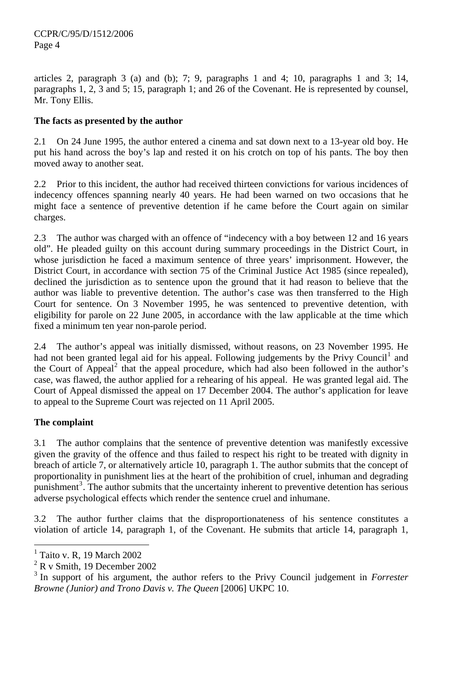articles 2, paragraph 3 (a) and (b); 7; 9, paragraphs 1 and 4; 10, paragraphs 1 and 3; 14, paragraphs 1, 2, 3 and 5; 15, paragraph 1; and 26 of the Covenant. He is represented by counsel, Mr. Tony Ellis.

# **The facts as presented by the author**

2.1 On 24 June 1995, the author entered a cinema and sat down next to a 13-year old boy. He put his hand across the boy's lap and rested it on his crotch on top of his pants. The boy then moved away to another seat.

2.2 Prior to this incident, the author had received thirteen convictions for various incidences of indecency offences spanning nearly 40 years. He had been warned on two occasions that he might face a sentence of preventive detention if he came before the Court again on similar charges.

2.3 The author was charged with an offence of "indecency with a boy between 12 and 16 years old". He pleaded guilty on this account during summary proceedings in the District Court, in whose jurisdiction he faced a maximum sentence of three years' imprisonment. However, the District Court, in accordance with section 75 of the Criminal Justice Act 1985 (since repealed), declined the jurisdiction as to sentence upon the ground that it had reason to believe that the author was liable to preventive detention. The author's case was then transferred to the High Court for sentence. On 3 November 1995, he was sentenced to preventive detention, with eligibility for parole on 22 June 2005, in accordance with the law applicable at the time which fixed a minimum ten year non-parole period.

2.4 The author's appeal was initially dismissed, without reasons, on 23 November 1995. He had not been granted legal aid for his appeal. Following judgements by the Privy Council<sup>[1](#page-3-0)</sup> and the Court of Appeal<sup>[2](#page-3-1)</sup> that the appeal procedure, which had also been followed in the author's case, was flawed, the author applied for a rehearing of his appeal. He was granted legal aid. The Court of Appeal dismissed the appeal on 17 December 2004. The author's application for leave to appeal to the Supreme Court was rejected on 11 April 2005.

## **The complaint**

 $\overline{a}$ 

3.1 The author complains that the sentence of preventive detention was manifestly excessive given the gravity of the offence and thus failed to respect his right to be treated with dignity in breach of article 7, or alternatively article 10, paragraph 1. The author submits that the concept of proportionality in punishment lies at the heart of the prohibition of cruel, inhuman and degrading punishment<sup>[3](#page-3-2)</sup>. The author submits that the uncertainty inherent to preventive detention has serious adverse psychological effects which render the sentence cruel and inhumane.

3.2 The author further claims that the disproportionateness of his sentence constitutes a violation of article 14, paragraph 1, of the Covenant. He submits that article 14, paragraph 1,

<span id="page-3-0"></span><sup>1</sup> Taito v. R, 19 March 2002

<span id="page-3-1"></span> $2$  R v Smith, 19 December 2002

<span id="page-3-2"></span><sup>3</sup> In support of his argument, the author refers to the Privy Council judgement in *Forrester Browne (Junior) and Trono Davis v. The Queen* [2006] UKPC 10.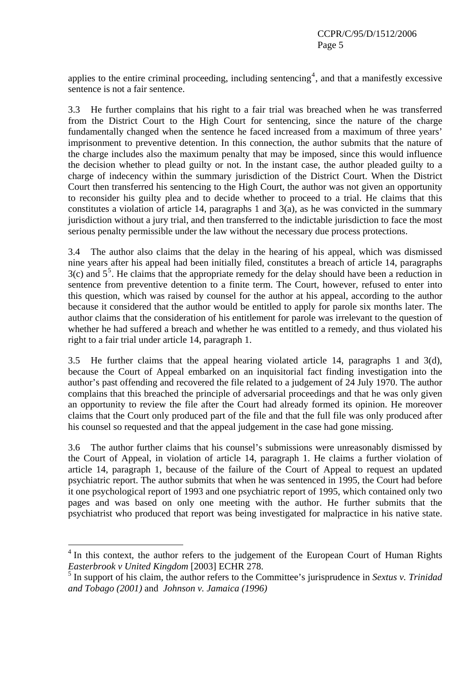applies to the entire criminal proceeding, including sentencing<sup>[4](#page-4-0)</sup>, and that a manifestly excessive sentence is not a fair sentence.

3.3 He further complains that his right to a fair trial was breached when he was transferred from the District Court to the High Court for sentencing, since the nature of the charge fundamentally changed when the sentence he faced increased from a maximum of three years' imprisonment to preventive detention. In this connection, the author submits that the nature of the charge includes also the maximum penalty that may be imposed, since this would influence the decision whether to plead guilty or not. In the instant case, the author pleaded guilty to a charge of indecency within the summary jurisdiction of the District Court. When the District Court then transferred his sentencing to the High Court, the author was not given an opportunity to reconsider his guilty plea and to decide whether to proceed to a trial. He claims that this constitutes a violation of article 14, paragraphs 1 and  $3(a)$ , as he was convicted in the summary jurisdiction without a jury trial, and then transferred to the indictable jurisdiction to face the most serious penalty permissible under the law without the necessary due process protections.

3.4 The author also claims that the delay in the hearing of his appeal, which was dismissed nine years after his appeal had been initially filed, constitutes a breach of article 14, paragraphs  $3(c)$  and  $5<sup>5</sup>$  $5<sup>5</sup>$ . He claims that the appropriate remedy for the delay should have been a reduction in sentence from preventive detention to a finite term. The Court, however, refused to enter into this question, which was raised by counsel for the author at his appeal, according to the author because it considered that the author would be entitled to apply for parole six months later. The author claims that the consideration of his entitlement for parole was irrelevant to the question of whether he had suffered a breach and whether he was entitled to a remedy, and thus violated his right to a fair trial under article 14, paragraph 1.

3.5 He further claims that the appeal hearing violated article 14, paragraphs 1 and 3(d), because the Court of Appeal embarked on an inquisitorial fact finding investigation into the author's past offending and recovered the file related to a judgement of 24 July 1970. The author complains that this breached the principle of adversarial proceedings and that he was only given an opportunity to review the file after the Court had already formed its opinion. He moreover claims that the Court only produced part of the file and that the full file was only produced after his counsel so requested and that the appeal judgement in the case had gone missing.

3.6 The author further claims that his counsel's submissions were unreasonably dismissed by the Court of Appeal, in violation of article 14, paragraph 1. He claims a further violation of article 14, paragraph 1, because of the failure of the Court of Appeal to request an updated psychiatric report. The author submits that when he was sentenced in 1995, the Court had before it one psychological report of 1993 and one psychiatric report of 1995, which contained only two pages and was based on only one meeting with the author. He further submits that the psychiatrist who produced that report was being investigated for malpractice in his native state.

<span id="page-4-0"></span><sup>&</sup>lt;sup>4</sup> In this context, the author refers to the judgement of the European Court of Human Rights *Easterbrook v United Kingdom* [2003] ECHR 278.

<span id="page-4-1"></span><sup>5</sup> In support of his claim, the author refers to the Committee's jurisprudence in *Sextus v. Trinidad and Tobago (2001)* and *Johnson v. Jamaica (1996)*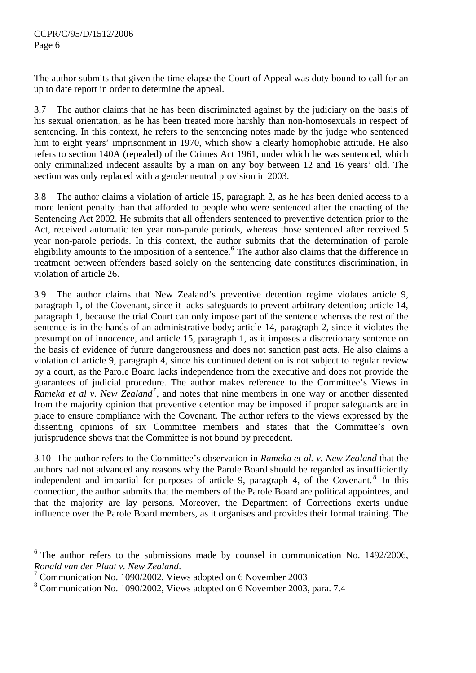The author submits that given the time elapse the Court of Appeal was duty bound to call for an up to date report in order to determine the appeal.

3.7 The author claims that he has been discriminated against by the judiciary on the basis of his sexual orientation, as he has been treated more harshly than non-homosexuals in respect of sentencing. In this context, he refers to the sentencing notes made by the judge who sentenced him to eight years' imprisonment in 1970, which show a clearly homophobic attitude. He also refers to section 140A (repealed) of the Crimes Act 1961, under which he was sentenced, which only criminalized indecent assaults by a man on any boy between 12 and 16 years' old. The section was only replaced with a gender neutral provision in 2003.

3.8 The author claims a violation of article 15, paragraph 2, as he has been denied access to a more lenient penalty than that afforded to people who were sentenced after the enacting of the Sentencing Act 2002. He submits that all offenders sentenced to preventive detention prior to the Act, received automatic ten year non-parole periods, whereas those sentenced after received 5 year non-parole periods. In this context, the author submits that the determination of parole eligibility amounts to the imposition of a sentence.<sup>[6](#page-5-0)</sup> The author also claims that the difference in treatment between offenders based solely on the sentencing date constitutes discrimination, in violation of article 26.

3.9 The author claims that New Zealand's preventive detention regime violates article 9, paragraph 1, of the Covenant, since it lacks safeguards to prevent arbitrary detention; article 14, paragraph 1, because the trial Court can only impose part of the sentence whereas the rest of the sentence is in the hands of an administrative body; article 14, paragraph 2, since it violates the presumption of innocence, and article 15, paragraph 1, as it imposes a discretionary sentence on the basis of evidence of future dangerousness and does not sanction past acts. He also claims a violation of article 9, paragraph 4, since his continued detention is not subject to regular review by a court, as the Parole Board lacks independence from the executive and does not provide the guarantees of judicial procedure. The author makes reference to the Committee's Views in Rameka et al v. New Zealand<sup>[7](#page-5-1)</sup>, and notes that nine members in one way or another dissented from the majority opinion that preventive detention may be imposed if proper safeguards are in place to ensure compliance with the Covenant. The author refers to the views expressed by the dissenting opinions of six Committee members and states that the Committee's own jurisprudence shows that the Committee is not bound by precedent.

3.10 The author refers to the Committee's observation in *Rameka et al. v. New Zealand* that the authors had not advanced any reasons why the Parole Board should be regarded as insufficiently independent and impartial for purposes of article 9, paragraph 4, of the Covenant.<sup>[8](#page-5-2)</sup> In this connection, the author submits that the members of the Parole Board are political appointees, and that the majority are lay persons. Moreover, the Department of Corrections exerts undue influence over the Parole Board members, as it organises and provides their formal training. The

<span id="page-5-0"></span><sup>6</sup> The author refers to the submissions made by counsel in communication No. 1492/2006, *Ronald van der Plaat v. New Zealand*. 7

<span id="page-5-1"></span> $\frac{7}{1}$  Communication No. 1090/2002, Views adopted on 6 November 2003

<span id="page-5-2"></span><sup>8</sup> Communication No. 1090/2002, Views adopted on 6 November 2003, para. 7.4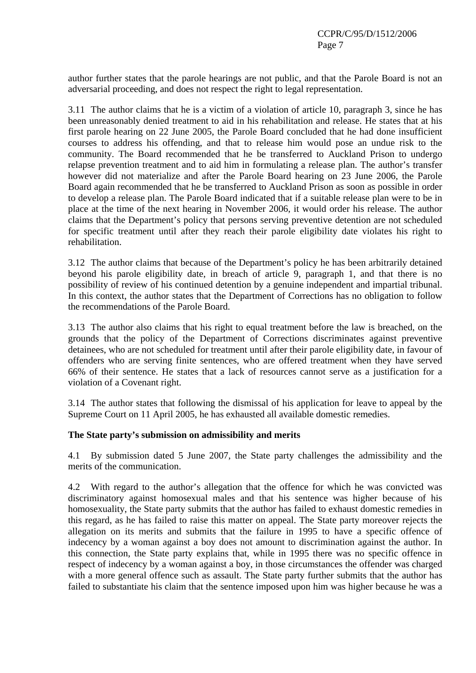author further states that the parole hearings are not public, and that the Parole Board is not an adversarial proceeding, and does not respect the right to legal representation.

3.11 The author claims that he is a victim of a violation of article 10, paragraph 3, since he has been unreasonably denied treatment to aid in his rehabilitation and release. He states that at his first parole hearing on 22 June 2005, the Parole Board concluded that he had done insufficient courses to address his offending, and that to release him would pose an undue risk to the community. The Board recommended that he be transferred to Auckland Prison to undergo relapse prevention treatment and to aid him in formulating a release plan. The author's transfer however did not materialize and after the Parole Board hearing on 23 June 2006, the Parole Board again recommended that he be transferred to Auckland Prison as soon as possible in order to develop a release plan. The Parole Board indicated that if a suitable release plan were to be in place at the time of the next hearing in November 2006, it would order his release. The author claims that the Department's policy that persons serving preventive detention are not scheduled for specific treatment until after they reach their parole eligibility date violates his right to rehabilitation.

3.12 The author claims that because of the Department's policy he has been arbitrarily detained beyond his parole eligibility date, in breach of article 9, paragraph 1, and that there is no possibility of review of his continued detention by a genuine independent and impartial tribunal. In this context, the author states that the Department of Corrections has no obligation to follow the recommendations of the Parole Board.

3.13 The author also claims that his right to equal treatment before the law is breached, on the grounds that the policy of the Department of Corrections discriminates against preventive detainees, who are not scheduled for treatment until after their parole eligibility date, in favour of offenders who are serving finite sentences, who are offered treatment when they have served 66% of their sentence. He states that a lack of resources cannot serve as a justification for a violation of a Covenant right.

3.14 The author states that following the dismissal of his application for leave to appeal by the Supreme Court on 11 April 2005, he has exhausted all available domestic remedies.

#### **The State party's submission on admissibility and merits**

4.1 By submission dated 5 June 2007, the State party challenges the admissibility and the merits of the communication.

4.2 With regard to the author's allegation that the offence for which he was convicted was discriminatory against homosexual males and that his sentence was higher because of his homosexuality, the State party submits that the author has failed to exhaust domestic remedies in this regard, as he has failed to raise this matter on appeal. The State party moreover rejects the allegation on its merits and submits that the failure in 1995 to have a specific offence of indecency by a woman against a boy does not amount to discrimination against the author. In this connection, the State party explains that, while in 1995 there was no specific offence in respect of indecency by a woman against a boy, in those circumstances the offender was charged with a more general offence such as assault. The State party further submits that the author has failed to substantiate his claim that the sentence imposed upon him was higher because he was a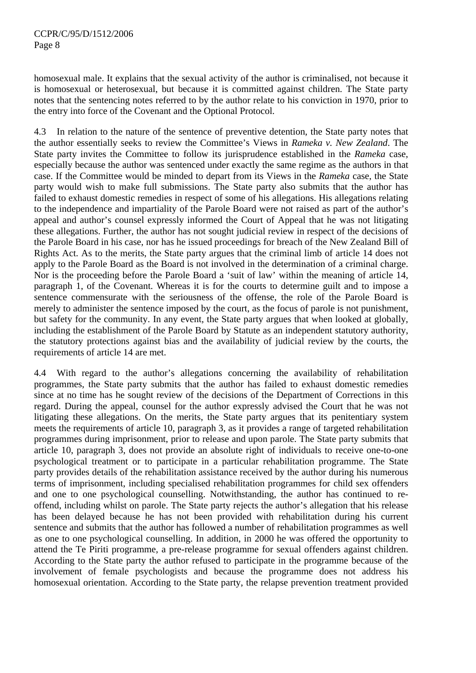homosexual male. It explains that the sexual activity of the author is criminalised, not because it is homosexual or heterosexual, but because it is committed against children. The State party notes that the sentencing notes referred to by the author relate to his conviction in 1970, prior to the entry into force of the Covenant and the Optional Protocol.

4.3 In relation to the nature of the sentence of preventive detention, the State party notes that the author essentially seeks to review the Committee's Views in *Rameka v. New Zealand*. The State party invites the Committee to follow its jurisprudence established in the *Rameka* case, especially because the author was sentenced under exactly the same regime as the authors in that case. If the Committee would be minded to depart from its Views in the *Rameka* case, the State party would wish to make full submissions. The State party also submits that the author has failed to exhaust domestic remedies in respect of some of his allegations. His allegations relating to the independence and impartiality of the Parole Board were not raised as part of the author's appeal and author's counsel expressly informed the Court of Appeal that he was not litigating these allegations. Further, the author has not sought judicial review in respect of the decisions of the Parole Board in his case, nor has he issued proceedings for breach of the New Zealand Bill of Rights Act. As to the merits, the State party argues that the criminal limb of article 14 does not apply to the Parole Board as the Board is not involved in the determination of a criminal charge. Nor is the proceeding before the Parole Board a 'suit of law' within the meaning of article 14, paragraph 1, of the Covenant. Whereas it is for the courts to determine guilt and to impose a sentence commensurate with the seriousness of the offense, the role of the Parole Board is merely to administer the sentence imposed by the court, as the focus of parole is not punishment, but safety for the community. In any event, the State party argues that when looked at globally, including the establishment of the Parole Board by Statute as an independent statutory authority, the statutory protections against bias and the availability of judicial review by the courts, the requirements of article 14 are met.

4.4 With regard to the author's allegations concerning the availability of rehabilitation programmes, the State party submits that the author has failed to exhaust domestic remedies since at no time has he sought review of the decisions of the Department of Corrections in this regard. During the appeal, counsel for the author expressly advised the Court that he was not litigating these allegations. On the merits, the State party argues that its penitentiary system meets the requirements of article 10, paragraph 3, as it provides a range of targeted rehabilitation programmes during imprisonment, prior to release and upon parole. The State party submits that article 10, paragraph 3, does not provide an absolute right of individuals to receive one-to-one psychological treatment or to participate in a particular rehabilitation programme. The State party provides details of the rehabilitation assistance received by the author during his numerous terms of imprisonment, including specialised rehabilitation programmes for child sex offenders and one to one psychological counselling. Notwithstanding, the author has continued to reoffend, including whilst on parole. The State party rejects the author's allegation that his release has been delayed because he has not been provided with rehabilitation during his current sentence and submits that the author has followed a number of rehabilitation programmes as well as one to one psychological counselling. In addition, in 2000 he was offered the opportunity to attend the Te Piriti programme, a pre-release programme for sexual offenders against children. According to the State party the author refused to participate in the programme because of the involvement of female psychologists and because the programme does not address his homosexual orientation. According to the State party, the relapse prevention treatment provided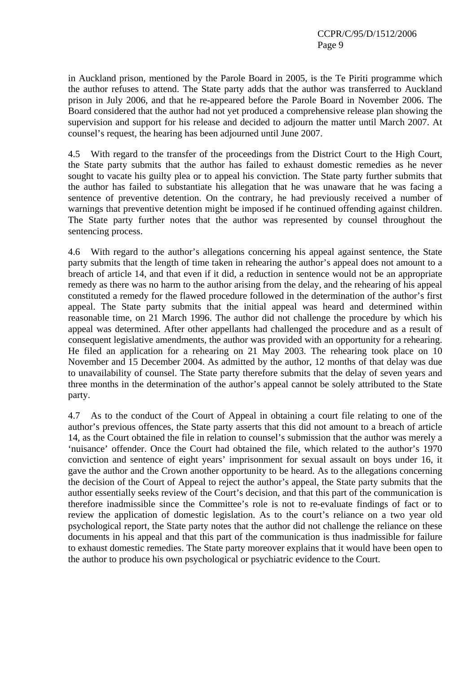in Auckland prison, mentioned by the Parole Board in 2005, is the Te Piriti programme which the author refuses to attend. The State party adds that the author was transferred to Auckland prison in July 2006, and that he re-appeared before the Parole Board in November 2006. The Board considered that the author had not yet produced a comprehensive release plan showing the supervision and support for his release and decided to adjourn the matter until March 2007. At counsel's request, the hearing has been adjourned until June 2007.

4.5 With regard to the transfer of the proceedings from the District Court to the High Court, the State party submits that the author has failed to exhaust domestic remedies as he never sought to vacate his guilty plea or to appeal his conviction. The State party further submits that the author has failed to substantiate his allegation that he was unaware that he was facing a sentence of preventive detention. On the contrary, he had previously received a number of warnings that preventive detention might be imposed if he continued offending against children. The State party further notes that the author was represented by counsel throughout the sentencing process.

4.6 With regard to the author's allegations concerning his appeal against sentence, the State party submits that the length of time taken in rehearing the author's appeal does not amount to a breach of article 14, and that even if it did, a reduction in sentence would not be an appropriate remedy as there was no harm to the author arising from the delay, and the rehearing of his appeal constituted a remedy for the flawed procedure followed in the determination of the author's first appeal. The State party submits that the initial appeal was heard and determined within reasonable time, on 21 March 1996. The author did not challenge the procedure by which his appeal was determined. After other appellants had challenged the procedure and as a result of consequent legislative amendments, the author was provided with an opportunity for a rehearing. He filed an application for a rehearing on 21 May 2003. The rehearing took place on 10 November and 15 December 2004. As admitted by the author, 12 months of that delay was due to unavailability of counsel. The State party therefore submits that the delay of seven years and three months in the determination of the author's appeal cannot be solely attributed to the State party.

4.7 As to the conduct of the Court of Appeal in obtaining a court file relating to one of the author's previous offences, the State party asserts that this did not amount to a breach of article 14, as the Court obtained the file in relation to counsel's submission that the author was merely a 'nuisance' offender. Once the Court had obtained the file, which related to the author's 1970 conviction and sentence of eight years' imprisonment for sexual assault on boys under 16, it gave the author and the Crown another opportunity to be heard. As to the allegations concerning the decision of the Court of Appeal to reject the author's appeal, the State party submits that the author essentially seeks review of the Court's decision, and that this part of the communication is therefore inadmissible since the Committee's role is not to re-evaluate findings of fact or to review the application of domestic legislation. As to the court's reliance on a two year old psychological report, the State party notes that the author did not challenge the reliance on these documents in his appeal and that this part of the communication is thus inadmissible for failure to exhaust domestic remedies. The State party moreover explains that it would have been open to the author to produce his own psychological or psychiatric evidence to the Court.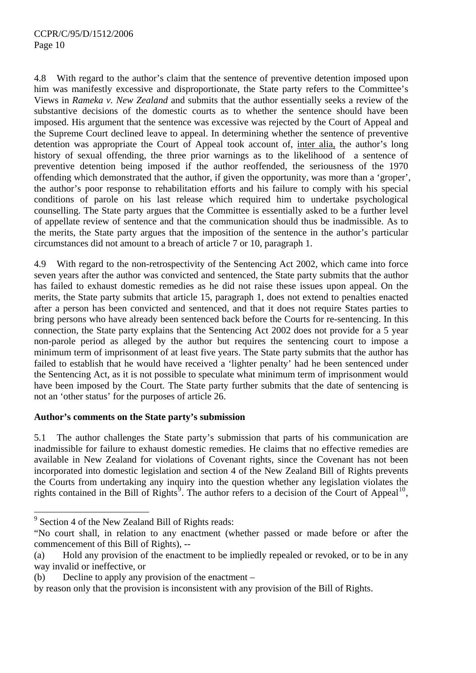4.8 With regard to the author's claim that the sentence of preventive detention imposed upon him was manifestly excessive and disproportionate, the State party refers to the Committee's Views in *Rameka v. New Zealand* and submits that the author essentially seeks a review of the substantive decisions of the domestic courts as to whether the sentence should have been imposed. His argument that the sentence was excessive was rejected by the Court of Appeal and the Supreme Court declined leave to appeal. In determining whether the sentence of preventive detention was appropriate the Court of Appeal took account of, inter alia, the author's long history of sexual offending, the three prior warnings as to the likelihood of a sentence of preventive detention being imposed if the author reoffended, the seriousness of the 1970 offending which demonstrated that the author, if given the opportunity, was more than a 'groper', the author's poor response to rehabilitation efforts and his failure to comply with his special conditions of parole on his last release which required him to undertake psychological counselling. The State party argues that the Committee is essentially asked to be a further level of appellate review of sentence and that the communication should thus be inadmissible. As to the merits, the State party argues that the imposition of the sentence in the author's particular circumstances did not amount to a breach of article 7 or 10, paragraph 1.

4.9 With regard to the non-retrospectivity of the Sentencing Act 2002, which came into force seven years after the author was convicted and sentenced, the State party submits that the author has failed to exhaust domestic remedies as he did not raise these issues upon appeal. On the merits, the State party submits that article 15, paragraph 1, does not extend to penalties enacted after a person has been convicted and sentenced, and that it does not require States parties to bring persons who have already been sentenced back before the Courts for re-sentencing. In this connection, the State party explains that the Sentencing Act 2002 does not provide for a 5 year non-parole period as alleged by the author but requires the sentencing court to impose a minimum term of imprisonment of at least five years. The State party submits that the author has failed to establish that he would have received a 'lighter penalty' had he been sentenced under the Sentencing Act, as it is not possible to speculate what minimum term of imprisonment would have been imposed by the Court. The State party further submits that the date of sentencing is not an 'other status' for the purposes of article 26.

#### **Author's comments on the State party's submission**

5.1 The author challenges the State party's submission that parts of his communication are inadmissible for failure to exhaust domestic remedies. He claims that no effective remedies are available in New Zealand for violations of Covenant rights, since the Covenant has not been incorporated into domestic legislation and section 4 of the New Zealand Bill of Rights prevents the Courts from undertaking any inquiry into the question whether any legislation violates the rights contained in the Bill of Rights<sup>[9](#page-9-0)</sup>. The author refers to a decision of the Court of Appeal<sup>[10](#page-9-1)</sup>,

<span id="page-9-0"></span><sup>&</sup>lt;sup>9</sup> Section 4 of the New Zealand Bill of Rights reads:

<span id="page-9-1"></span><sup>&</sup>quot;No court shall, in relation to any enactment (whether passed or made before or after the commencement of this Bill of Rights), --

<sup>(</sup>a) Hold any provision of the enactment to be impliedly repealed or revoked, or to be in any way invalid or ineffective, or

<sup>(</sup>b) Decline to apply any provision of the enactment –

by reason only that the provision is inconsistent with any provision of the Bill of Rights.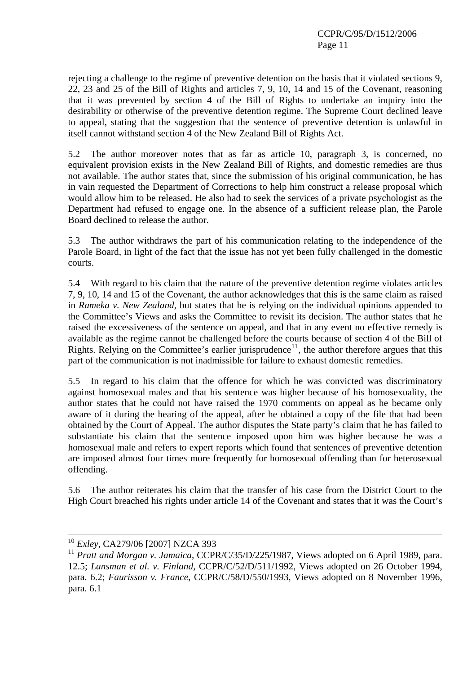rejecting a challenge to the regime of preventive detention on the basis that it violated sections 9, 22, 23 and 25 of the Bill of Rights and articles 7, 9, 10, 14 and 15 of the Covenant, reasoning that it was prevented by section 4 of the Bill of Rights to undertake an inquiry into the desirability or otherwise of the preventive detention regime. The Supreme Court declined leave to appeal, stating that the suggestion that the sentence of preventive detention is unlawful in itself cannot withstand section 4 of the New Zealand Bill of Rights Act.

5.2 The author moreover notes that as far as article 10, paragraph 3, is concerned, no equivalent provision exists in the New Zealand Bill of Rights, and domestic remedies are thus not available. The author states that, since the submission of his original communication, he has in vain requested the Department of Corrections to help him construct a release proposal which would allow him to be released. He also had to seek the services of a private psychologist as the Department had refused to engage one. In the absence of a sufficient release plan, the Parole Board declined to release the author.

5.3 The author withdraws the part of his communication relating to the independence of the Parole Board, in light of the fact that the issue has not yet been fully challenged in the domestic courts.

5.4 With regard to his claim that the nature of the preventive detention regime violates articles 7, 9, 10, 14 and 15 of the Covenant, the author acknowledges that this is the same claim as raised in *Rameka v. New Zealand*, but states that he is relying on the individual opinions appended to the Committee's Views and asks the Committee to revisit its decision. The author states that he raised the excessiveness of the sentence on appeal, and that in any event no effective remedy is available as the regime cannot be challenged before the courts because of section 4 of the Bill of Rights. Relying on the Committee's earlier jurisprudence<sup>[11](#page-10-0)</sup>, the author therefore argues that this part of the communication is not inadmissible for failure to exhaust domestic remedies.

5.5 In regard to his claim that the offence for which he was convicted was discriminatory against homosexual males and that his sentence was higher because of his homosexuality, the author states that he could not have raised the 1970 comments on appeal as he became only aware of it during the hearing of the appeal, after he obtained a copy of the file that had been obtained by the Court of Appeal. The author disputes the State party's claim that he has failed to substantiate his claim that the sentence imposed upon him was higher because he was a homosexual male and refers to expert reports which found that sentences of preventive detention are imposed almost four times more frequently for homosexual offending than for heterosexual offending.

5.6 The author reiterates his claim that the transfer of his case from the District Court to the High Court breached his rights under article 14 of the Covenant and states that it was the Court's

<u>.</u>

<sup>10</sup> *Exley*, CA279/06 [2007] NZCA 393

<span id="page-10-0"></span><sup>&</sup>lt;sup>11</sup> Pratt and Morgan v. Jamaica, CCPR/C/35/D/225/1987, Views adopted on 6 April 1989, para. 12.5; *Lansman et al. v. Finland*, CCPR/C/52/D/511/1992, Views adopted on 26 October 1994, para. 6.2; *Faurisson v. France*, CCPR/C/58/D/550/1993, Views adopted on 8 November 1996, para. 6.1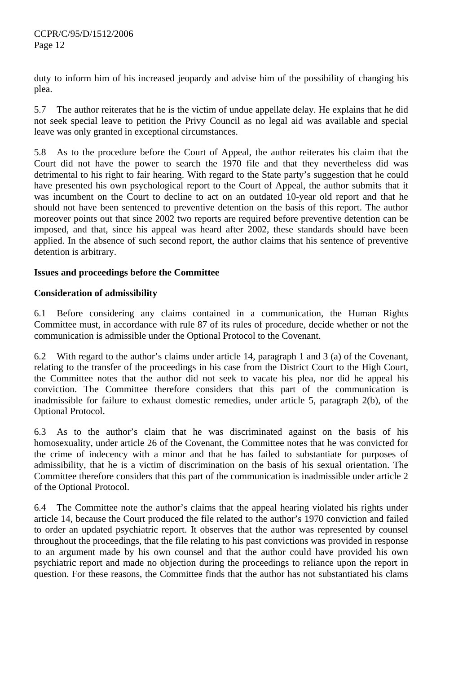duty to inform him of his increased jeopardy and advise him of the possibility of changing his plea.

5.7 The author reiterates that he is the victim of undue appellate delay. He explains that he did not seek special leave to petition the Privy Council as no legal aid was available and special leave was only granted in exceptional circumstances.

5.8 As to the procedure before the Court of Appeal, the author reiterates his claim that the Court did not have the power to search the 1970 file and that they nevertheless did was detrimental to his right to fair hearing. With regard to the State party's suggestion that he could have presented his own psychological report to the Court of Appeal, the author submits that it was incumbent on the Court to decline to act on an outdated 10-year old report and that he should not have been sentenced to preventive detention on the basis of this report. The author moreover points out that since 2002 two reports are required before preventive detention can be imposed, and that, since his appeal was heard after 2002, these standards should have been applied. In the absence of such second report, the author claims that his sentence of preventive detention is arbitrary.

## **Issues and proceedings before the Committee**

## **Consideration of admissibility**

6.1 Before considering any claims contained in a communication, the Human Rights Committee must, in accordance with rule 87 of its rules of procedure, decide whether or not the communication is admissible under the Optional Protocol to the Covenant.

6.2 With regard to the author's claims under article 14, paragraph 1 and 3 (a) of the Covenant, relating to the transfer of the proceedings in his case from the District Court to the High Court, the Committee notes that the author did not seek to vacate his plea, nor did he appeal his conviction. The Committee therefore considers that this part of the communication is inadmissible for failure to exhaust domestic remedies, under article 5, paragraph 2(b), of the Optional Protocol.

6.3 As to the author's claim that he was discriminated against on the basis of his homosexuality, under article 26 of the Covenant, the Committee notes that he was convicted for the crime of indecency with a minor and that he has failed to substantiate for purposes of admissibility, that he is a victim of discrimination on the basis of his sexual orientation. The Committee therefore considers that this part of the communication is inadmissible under article 2 of the Optional Protocol.

6.4 The Committee note the author's claims that the appeal hearing violated his rights under article 14, because the Court produced the file related to the author's 1970 conviction and failed to order an updated psychiatric report. It observes that the author was represented by counsel throughout the proceedings, that the file relating to his past convictions was provided in response to an argument made by his own counsel and that the author could have provided his own psychiatric report and made no objection during the proceedings to reliance upon the report in question. For these reasons, the Committee finds that the author has not substantiated his clams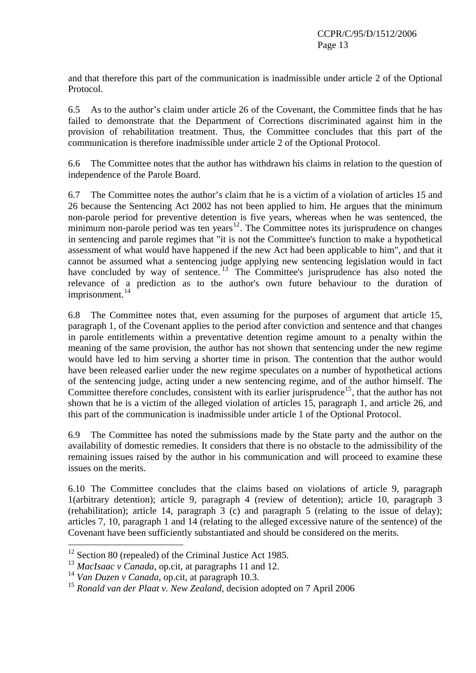and that therefore this part of the communication is inadmissible under article 2 of the Optional Protocol.

6.5 As to the author's claim under article 26 of the Covenant, the Committee finds that he has failed to demonstrate that the Department of Corrections discriminated against him in the provision of rehabilitation treatment. Thus, the Committee concludes that this part of the communication is therefore inadmissible under article 2 of the Optional Protocol.

6.6 The Committee notes that the author has withdrawn his claims in relation to the question of independence of the Parole Board.

6.7 The Committee notes the author's claim that he is a victim of a violation of articles 15 and 26 because the Sentencing Act 2002 has not been applied to him. He argues that the minimum non-parole period for preventive detention is five years, whereas when he was sentenced, the minimum non-parole period was ten years $12$ . The Committee notes its jurisprudence on changes in sentencing and parole regimes that "it is not the Committee's function to make a hypothetical assessment of what would have happened if the new Act had been applicable to him", and that it cannot be assumed what a sentencing judge applying new sentencing legislation would in fact have concluded by way of sentence.<sup>[13](#page-12-1)</sup> The Committee's jurisprudence has also noted the relevance of a prediction as to the author's own future behaviour to the duration of imprisonment.<sup>[14](#page-12-2)</sup>

6.8 The Committee notes that, even assuming for the purposes of argument that article 15, paragraph 1, of the Covenant applies to the period after conviction and sentence and that changes in parole entitlements within a preventative detention regime amount to a penalty within the meaning of the same provision, the author has not shown that sentencing under the new regime would have led to him serving a shorter time in prison. The contention that the author would have been released earlier under the new regime speculates on a number of hypothetical actions of the sentencing judge, acting under a new sentencing regime, and of the author himself. The Committee therefore concludes, consistent with its earlier jurisprudence<sup>[15](#page-12-3)</sup>, that the author has not shown that he is a victim of the alleged violation of articles 15, paragraph 1, and article 26, and this part of the communication is inadmissible under article 1 of the Optional Protocol.

6.9 The Committee has noted the submissions made by the State party and the author on the availability of domestic remedies. It considers that there is no obstacle to the admissibility of the remaining issues raised by the author in his communication and will proceed to examine these issues on the merits.

6.10 The Committee concludes that the claims based on violations of article 9, paragraph 1(arbitrary detention); article 9, paragraph 4 (review of detention); article 10, paragraph 3 (rehabilitation); article 14, paragraph 3 (c) and paragraph 5 (relating to the issue of delay); articles 7, 10, paragraph 1 and 14 (relating to the alleged excessive nature of the sentence) of the Covenant have been sufficiently substantiated and should be considered on the merits.

<span id="page-12-0"></span><sup>&</sup>lt;sup>12</sup> Section 80 (repealed) of the Criminal Justice Act 1985.

<span id="page-12-1"></span><sup>&</sup>lt;sup>13</sup> *MacIsaac v Canada*, op.cit, at paragraphs 11 and 12.

<span id="page-12-2"></span><sup>14</sup> *Van Duzen v Canada*, op.cit, at paragraph 10.3.

<span id="page-12-3"></span><sup>15</sup> *Ronald van der Plaat v. New Zealand*, decision adopted on 7 April 2006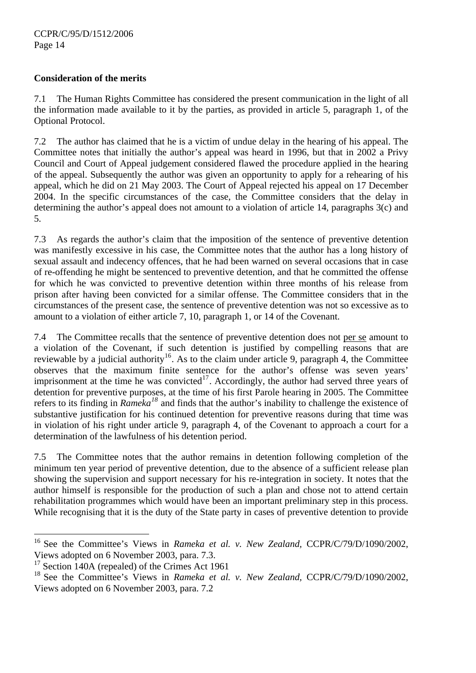## **Consideration of the merits**

7.1 The Human Rights Committee has considered the present communication in the light of all the information made available to it by the parties, as provided in article 5, paragraph 1, of the Optional Protocol.

7.2 The author has claimed that he is a victim of undue delay in the hearing of his appeal. The Committee notes that initially the author's appeal was heard in 1996, but that in 2002 a Privy Council and Court of Appeal judgement considered flawed the procedure applied in the hearing of the appeal. Subsequently the author was given an opportunity to apply for a rehearing of his appeal, which he did on 21 May 2003. The Court of Appeal rejected his appeal on 17 December 2004. In the specific circumstances of the case, the Committee considers that the delay in determining the author's appeal does not amount to a violation of article 14, paragraphs 3(c) and 5.

7.3 As regards the author's claim that the imposition of the sentence of preventive detention was manifestly excessive in his case, the Committee notes that the author has a long history of sexual assault and indecency offences, that he had been warned on several occasions that in case of re-offending he might be sentenced to preventive detention, and that he committed the offense for which he was convicted to preventive detention within three months of his release from prison after having been convicted for a similar offense. The Committee considers that in the circumstances of the present case, the sentence of preventive detention was not so excessive as to amount to a violation of either article 7, 10, paragraph 1, or 14 of the Covenant.

7.4 The Committee recalls that the sentence of preventive detention does not per se amount to a violation of the Covenant, if such detention is justified by compelling reasons that are reviewable by a judicial authority<sup>[16](#page-13-0)</sup>. As to the claim under article 9, paragraph 4, the Committee observes that the maximum finite sentence for the author's offense was seven years' imprisonment at the time he was convicted<sup>[17](#page-13-1)</sup>. Accordingly, the author had served three years of detention for preventive purposes, at the time of his first Parole hearing in 2005. The Committee refers to its finding in *Rameka[18](#page-13-2)* and finds that the author's inability to challenge the existence of substantive justification for his continued detention for preventive reasons during that time was in violation of his right under article 9, paragraph 4, of the Covenant to approach a court for a determination of the lawfulness of his detention period.

7.5 The Committee notes that the author remains in detention following completion of the minimum ten year period of preventive detention, due to the absence of a sufficient release plan showing the supervision and support necessary for his re-integration in society. It notes that the author himself is responsible for the production of such a plan and chose not to attend certain rehabilitation programmes which would have been an important preliminary step in this process. While recognising that it is the duty of the State party in cases of preventive detention to provide

<span id="page-13-0"></span><sup>16</sup> See the Committee's Views in *Rameka et al. v. New Zealand,* CCPR/C/79/D/1090/2002, Views adopted on 6 November 2003, para. 7.3.

<span id="page-13-1"></span><sup>&</sup>lt;sup>17</sup> Section 140A (repealed) of the Crimes Act 1961

<span id="page-13-2"></span><sup>&</sup>lt;sup>18</sup> See the Committee's Views in *Rameka et al. v. New Zealand, CCPR/C/79/D/1090/2002*, Views adopted on 6 November 2003, para. 7.2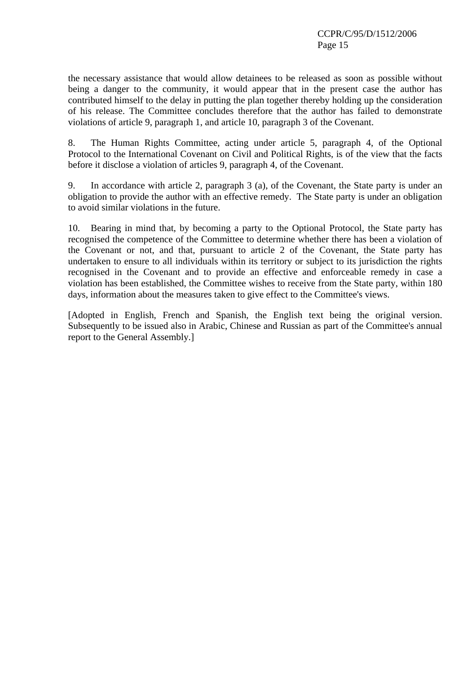the necessary assistance that would allow detainees to be released as soon as possible without being a danger to the community, it would appear that in the present case the author has contributed himself to the delay in putting the plan together thereby holding up the consideration of his release. The Committee concludes therefore that the author has failed to demonstrate violations of article 9, paragraph 1, and article 10, paragraph 3 of the Covenant.

8. The Human Rights Committee, acting under article 5, paragraph 4, of the Optional Protocol to the International Covenant on Civil and Political Rights, is of the view that the facts before it disclose a violation of articles 9, paragraph 4, of the Covenant.

9. In accordance with article 2, paragraph 3 (a), of the Covenant, the State party is under an obligation to provide the author with an effective remedy. The State party is under an obligation to avoid similar violations in the future.

10. Bearing in mind that, by becoming a party to the Optional Protocol, the State party has recognised the competence of the Committee to determine whether there has been a violation of the Covenant or not, and that, pursuant to article 2 of the Covenant, the State party has undertaken to ensure to all individuals within its territory or subject to its jurisdiction the rights recognised in the Covenant and to provide an effective and enforceable remedy in case a violation has been established, the Committee wishes to receive from the State party, within 180 days, information about the measures taken to give effect to the Committee's views.

[Adopted in English, French and Spanish, the English text being the original version. Subsequently to be issued also in Arabic, Chinese and Russian as part of the Committee's annual report to the General Assembly.]